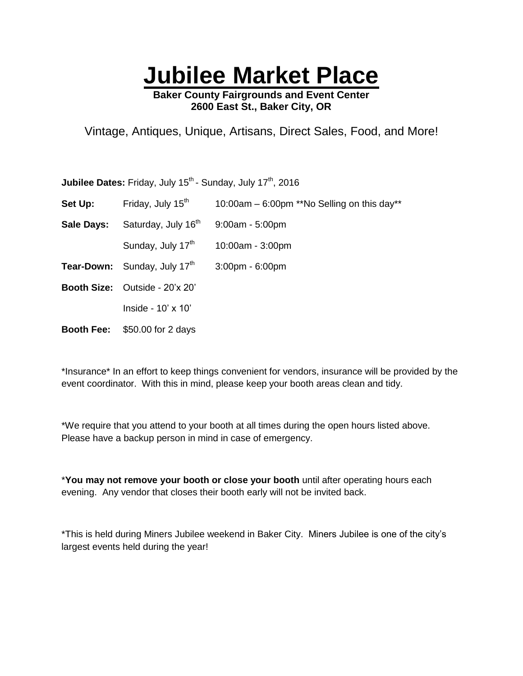## **Jubilee Market Place**

**Baker County Fairgrounds and Event Center 2600 East St., Baker City, OR**

Vintage, Antiques, Unique, Artisans, Direct Sales, Food, and More!

Jubilee Dates: Friday, July 15<sup>th</sup> - Sunday, July 17<sup>th</sup>, 2016

- **Set Up:** Friday, July  $15<sup>th</sup>$  10:00am 6:00pm \*\*No Selling on this day\*\*
- **Sale Days:** Saturday, July 16<sup>th</sup> 9:00am 5:00pm

Sunday, July  $17<sup>th</sup>$  10:00am - 3:00pm

- **Tear-Down:** Sunday, July  $17<sup>th</sup>$  3:00pm 6:00pm
- **Booth Size:** Outside 20'x 20'

Inside - 10' x 10'

**Booth Fee:** \$50.00 for 2 days

\*Insurance\* In an effort to keep things convenient for vendors, insurance will be provided by the event coordinator. With this in mind, please keep your booth areas clean and tidy.

\*We require that you attend to your booth at all times during the open hours listed above. Please have a backup person in mind in case of emergency.

\***You may not remove your booth or close your booth** until after operating hours each evening. Any vendor that closes their booth early will not be invited back.

\*This is held during Miners Jubilee weekend in Baker City. Miners Jubilee is one of the city's largest events held during the year!